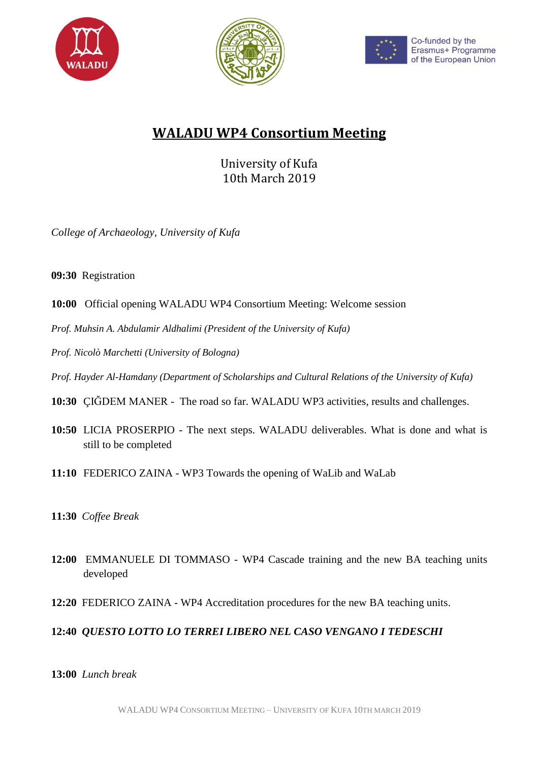





## **WALADU WP4 Consortium Meeting**

University of Kufa 10th March 2019

*College of Archaeology, University of Kufa*

**09:30** Registration

**10:00** Official opening WALADU WP4 Consortium Meeting: Welcome session

*Prof. Muhsin A. Abdulamir Aldhalimi (President of the University of Kufa)*

*Prof. Nicolò Marchetti (University of Bologna)*

*Prof. Hayder Al-Hamdany (Department of Scholarships and Cultural Relations of the University of Kufa)*

- **10:30** ÇIĞDEM MANER The road so far. WALADU WP3 activities, results and challenges.
- **10:50** LICIA PROSERPIO The next steps. WALADU deliverables. What is done and what is still to be completed
- **11:10** FEDERICO ZAINA WP3 Towards the opening of WaLib and WaLab
- **11:30** *Coffee Break*
- **12:00** EMMANUELE DI TOMMASO WP4 Cascade training and the new BA teaching units developed
- **12:20** FEDERICO ZAINA WP4 Accreditation procedures for the new BA teaching units.

## **12:40** *QUESTO LOTTO LO TERREI LIBERO NEL CASO VENGANO I TEDESCHI*

**13:00** *Lunch break*